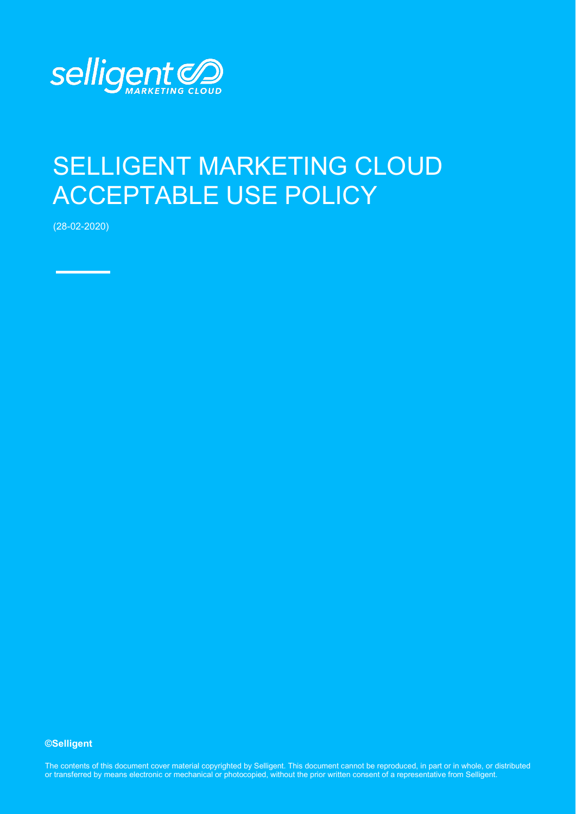

## SELLIGENT MARKETING CLOUD ACCEPTABLE USE POLICY

(28-02-2020)

## **©Selligent**

The contents of this document cover material copyrighted by Selligent. This document cannot be reproduced, in part or in whole, or distributed or transferred by means electronic or mechanical or photocopied, without the prior written consent of a representative from Selligent.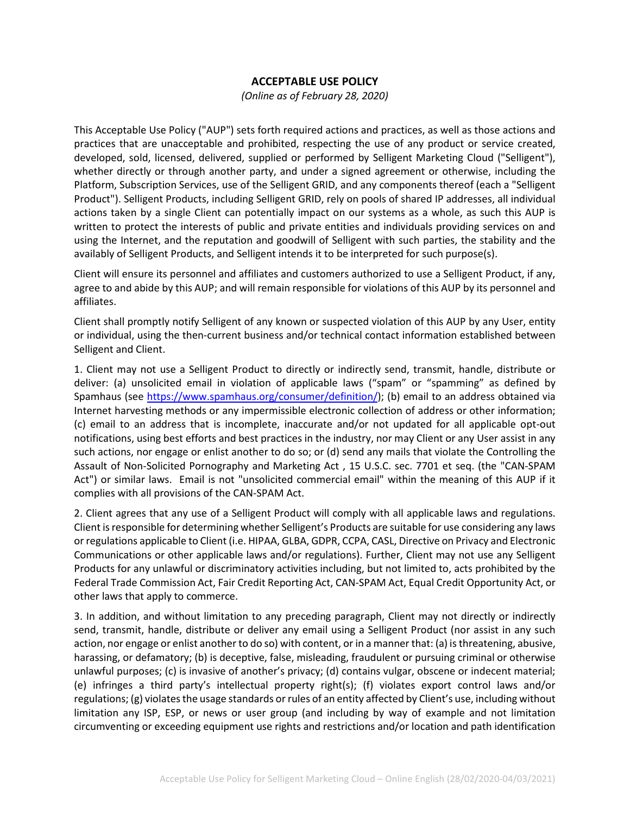## **ACCEPTABLE USE POLICY**

*(Online as of February 28, 2020)*

This Acceptable Use Policy ("AUP") sets forth required actions and practices, as well as those actions and practices that are unacceptable and prohibited, respecting the use of any product or service created, developed, sold, licensed, delivered, supplied or performed by Selligent Marketing Cloud ("Selligent"), whether directly or through another party, and under a signed agreement or otherwise, including the Platform, Subscription Services, use of the Selligent GRID, and any components thereof (each a "Selligent Product"). Selligent Products, including Selligent GRID, rely on pools of shared IP addresses, all individual actions taken by a single Client can potentially impact on our systems as a whole, as such this AUP is written to protect the interests of public and private entities and individuals providing services on and using the Internet, and the reputation and goodwill of Selligent with such parties, the stability and the availably of Selligent Products, and Selligent intends it to be interpreted for such purpose(s).

Client will ensure its personnel and affiliates and customers authorized to use a Selligent Product, if any, agree to and abide by this AUP; and will remain responsible for violations of this AUP by its personnel and affiliates.

Client shall promptly notify Selligent of any known or suspected violation of this AUP by any User, entity or individual, using the then-current business and/or technical contact information established between Selligent and Client.

1. Client may not use a Selligent Product to directly or indirectly send, transmit, handle, distribute or deliver: (a) unsolicited email in violation of applicable laws ("spam" or "spamming" as defined by Spamhaus (see [https://www.spamhaus.org/consumer/definition/\)](https://www.spamhaus.org/consumer/definition/); (b) email to an address obtained via Internet harvesting methods or any impermissible electronic collection of address or other information; (c) email to an address that is incomplete, inaccurate and/or not updated for all applicable opt-out notifications, using best efforts and best practices in the industry, nor may Client or any User assist in any such actions, nor engage or enlist another to do so; or (d) send any mails that violate the Controlling the Assault of Non-Solicited Pornography and Marketing Act , 15 U.S.C. sec. 7701 et seq. (the "CAN-SPAM Act") or similar laws. Email is not "unsolicited commercial email" within the meaning of this AUP if it complies with all provisions of the CAN-SPAM Act.

2. Client agrees that any use of a Selligent Product will comply with all applicable laws and regulations. Client is responsible for determining whether Selligent's Products are suitable for use considering any laws or regulations applicable to Client (i.e. HIPAA, GLBA, GDPR, CCPA, CASL, Directive on Privacy and Electronic Communications or other applicable laws and/or regulations). Further, Client may not use any Selligent Products for any unlawful or discriminatory activities including, but not limited to, acts prohibited by the Federal Trade Commission Act, Fair Credit Reporting Act, CAN-SPAM Act, Equal Credit Opportunity Act, or other laws that apply to commerce.

3. In addition, and without limitation to any preceding paragraph, Client may not directly or indirectly send, transmit, handle, distribute or deliver any email using a Selligent Product (nor assist in any such action, nor engage or enlist another to do so) with content, or in a manner that: (a) is threatening, abusive, harassing, or defamatory; (b) is deceptive, false, misleading, fraudulent or pursuing criminal or otherwise unlawful purposes; (c) is invasive of another's privacy; (d) contains vulgar, obscene or indecent material; (e) infringes a third party's intellectual property right(s); (f) violates export control laws and/or regulations; (g) violates the usage standards or rules of an entity affected by Client's use, including without limitation any ISP, ESP, or news or user group (and including by way of example and not limitation circumventing or exceeding equipment use rights and restrictions and/or location and path identification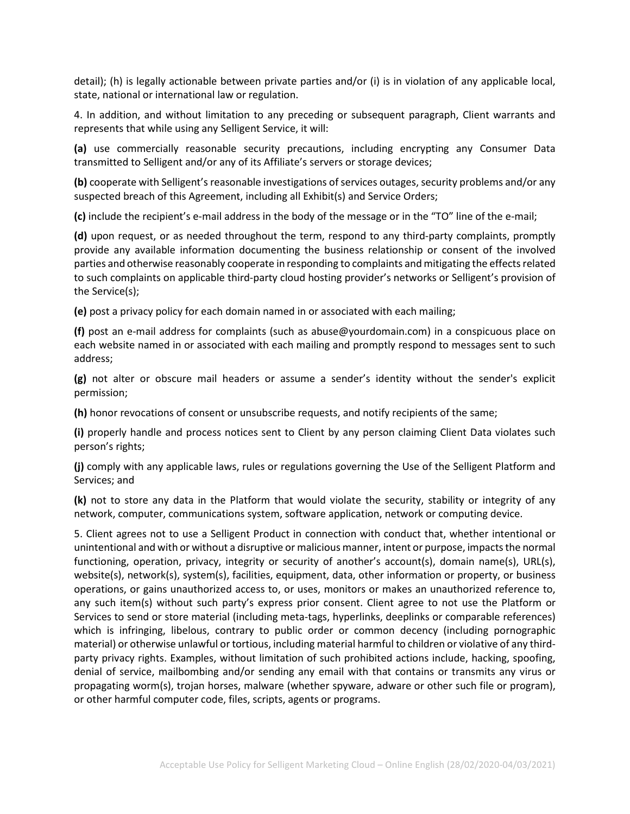detail); (h) is legally actionable between private parties and/or (i) is in violation of any applicable local, state, national or international law or regulation.

4. In addition, and without limitation to any preceding or subsequent paragraph, Client warrants and represents that while using any Selligent Service, it will:

**(a)** use commercially reasonable security precautions, including encrypting any Consumer Data transmitted to Selligent and/or any of its Affiliate's servers or storage devices;

**(b)** cooperate with Selligent's reasonable investigations of services outages, security problems and/or any suspected breach of this Agreement, including all Exhibit(s) and Service Orders;

**(c)** include the recipient's e-mail address in the body of the message or in the "TO" line of the e-mail;

**(d)** upon request, or as needed throughout the term, respond to any third-party complaints, promptly provide any available information documenting the business relationship or consent of the involved parties and otherwise reasonably cooperate in responding to complaints and mitigating the effects related to such complaints on applicable third-party cloud hosting provider's networks or Selligent's provision of the Service(s);

**(e)** post a privacy policy for each domain named in or associated with each mailing;

**(f)** post an e-mail address for complaints (such as abuse@yourdomain.com) in a conspicuous place on each website named in or associated with each mailing and promptly respond to messages sent to such address;

**(g)** not alter or obscure mail headers or assume a sender's identity without the sender's explicit permission;

**(h)** honor revocations of consent or unsubscribe requests, and notify recipients of the same;

**(i)** properly handle and process notices sent to Client by any person claiming Client Data violates such person's rights;

**(j)** comply with any applicable laws, rules or regulations governing the Use of the Selligent Platform and Services; and

**(k)** not to store any data in the Platform that would violate the security, stability or integrity of any network, computer, communications system, software application, network or computing device.

5. Client agrees not to use a Selligent Product in connection with conduct that, whether intentional or unintentional and with or without a disruptive or malicious manner, intent or purpose, impacts the normal functioning, operation, privacy, integrity or security of another's account(s), domain name(s), URL(s), website(s), network(s), system(s), facilities, equipment, data, other information or property, or business operations, or gains unauthorized access to, or uses, monitors or makes an unauthorized reference to, any such item(s) without such party's express prior consent. Client agree to not use the Platform or Services to send or store material (including meta-tags, hyperlinks, deeplinks or comparable references) which is infringing, libelous, contrary to public order or common decency (including pornographic material) or otherwise unlawful or tortious, including material harmful to children or violative of any thirdparty privacy rights. Examples, without limitation of such prohibited actions include, hacking, spoofing, denial of service, mailbombing and/or sending any email with that contains or transmits any virus or propagating worm(s), trojan horses, malware (whether spyware, adware or other such file or program), or other harmful computer code, files, scripts, agents or programs.